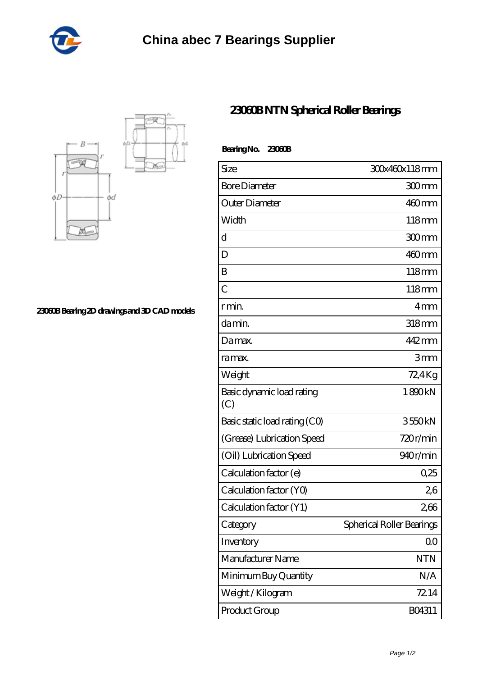



**[23060B Bearing 2D drawings and 3D CAD models](https://cornerstonegarlicfarm.com/pic-980414.html)**

## **[23060B NTN Spherical Roller Bearings](https://cornerstonegarlicfarm.com/thrust-tapered-roller-bearing/23060b.html)**

| Size                             | 30x460x118mm              |
|----------------------------------|---------------------------|
| <b>Bore Diameter</b>             | 300mm                     |
| Outer Diameter                   | $460$ mm                  |
| Width                            | $118 \text{mm}$           |
| $\mathbf d$                      | 300mm                     |
| D                                | $460$ mm                  |
| B                                | $118$ mm                  |
| $\overline{C}$                   | 118mm                     |
| r min.                           | 4 <sub>mm</sub>           |
| da min.                          | 318mm                     |
| Damax.                           | 442 mm                    |
| ra max.                          | 3mm                       |
| Weight                           | 72,4Kg                    |
| Basic dynamic load rating<br>(C) | 1890kN                    |
| Basic static load rating (CO)    | 3550kN                    |
| (Grease) Lubrication Speed       | 720r/min                  |
| (Oil) Lubrication Speed          | 940r/min                  |
| Calculation factor (e)           | 0.25                      |
| Calculation factor (YO)          | 26                        |
| Calculation factor (Y1)          | 266                       |
| Category                         | Spherical Roller Bearings |
| Inventory                        | 0 <sub>0</sub>            |
| Manufacturer Name                | <b>NTN</b>                |
| Minimum Buy Quantity             | N/A                       |
| Weight/Kilogram                  | 72.14                     |

Product Group B04311